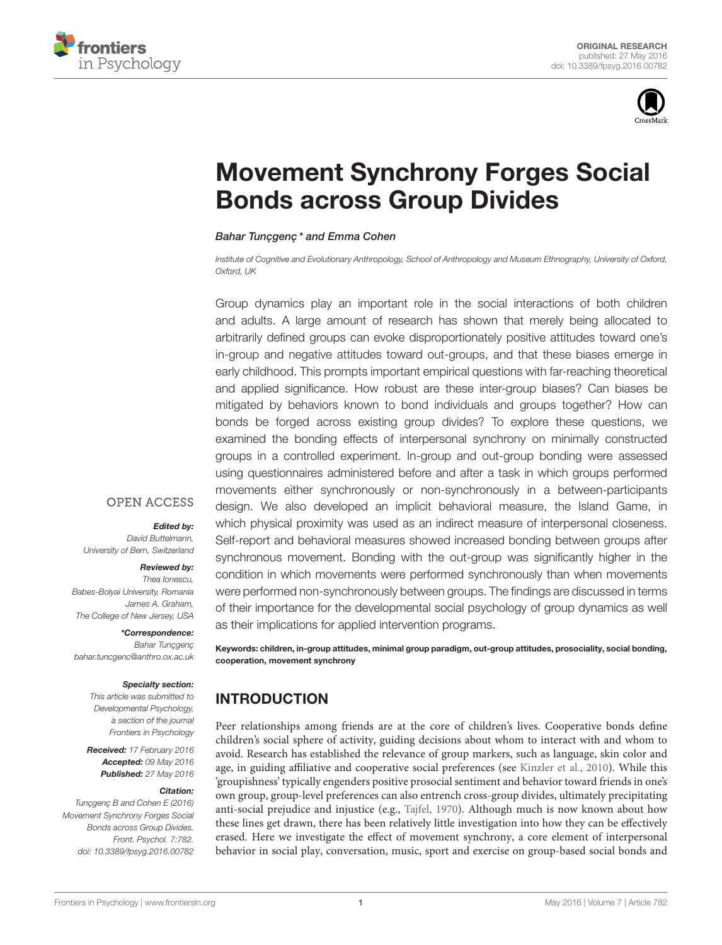



# [Movement Synchrony Forges Social](http://journal.frontiersin.org/article/10.3389/fpsyg.2016.00782/abstract) Bonds across Group Divides

#### [Bahar Tunçgenç](http://loop.frontiersin.org/people/278049/overview)\* and [Emma Cohen](http://loop.frontiersin.org/people/184528/overview)

Institute of Cognitive and Evolutionary Anthropology, School of Anthropology and Museum Ethnography, University of Oxford, Oxford, UK

Group dynamics play an important role in the social interactions of both children and adults. A large amount of research has shown that merely being allocated to arbitrarily defined groups can evoke disproportionately positive attitudes toward one's in-group and negative attitudes toward out-groups, and that these biases emerge in early childhood. This prompts important empirical questions with far-reaching theoretical and applied significance. How robust are these inter-group biases? Can biases be mitigated by behaviors known to bond individuals and groups together? How can bonds be forged across existing group divides? To explore these questions, we examined the bonding effects of interpersonal synchrony on minimally constructed groups in a controlled experiment. In-group and out-group bonding were assessed using questionnaires administered before and after a task in which groups performed movements either synchronously or non-synchronously in a between-participants design. We also developed an implicit behavioral measure, the Island Game, in which physical proximity was used as an indirect measure of interpersonal closeness. Self-report and behavioral measures showed increased bonding between groups after synchronous movement. Bonding with the out-group was significantly higher in the condition in which movements were performed synchronously than when movements were performed non-synchronously between groups. The findings are discussed in terms of their importance for the developmental social psychology of group dynamics as well as their implications for applied intervention programs.

Keywords: children, in-group attitudes, minimal group paradigm, out-group attitudes, prosociality, social bonding, cooperation, movement synchrony

## INTRODUCTION

Peer relationships among friends are at the core of children's lives. Cooperative bonds define children's social sphere of activity, guiding decisions about whom to interact with and whom to avoid. Research has established the relevance of group markers, such as language, skin color and age, in guiding affiliative and cooperative social preferences (see [Kinzler et al., 2010\)](#page-10-0). While this 'groupishness' typically engenders positive prosocial sentiment and behavior toward friends in one's own group, group-level preferences can also entrench cross-group divides, ultimately precipitating anti-social prejudice and injustice (e.g., [Tajfel, 1970\)](#page-11-0). Although much is now known about how these lines get drawn, there has been relatively little investigation into how they can be effectively erased. Here we investigate the effect of movement synchrony, a core element of interpersonal behavior in social play, conversation, music, sport and exercise on group-based social bonds and

## **OPEN ACCESS**

#### Edited by:

David Buttelmann, University of Bern, Switzerland

## Reviewed by:

Thea Ionescu, Babes-Bolyai University, Romania James A. Graham, The College of New Jersey, USA

## \*Correspondence:

Bahar Tunçgenç [bahar.tuncgenc@anthro.ox.ac.uk](mailto:bahar.tuncgenc@anthro.ox.ac.uk)

#### Specialty section:

This article was submitted to Developmental Psychology, a section of the journal Frontiers in Psychology

Received: 17 February 2016 Accepted: 09 May 2016 Published: 27 May 2016

#### Citation:

Tunçgenç B and Cohen E (2016) Movement Synchrony Forges Social Bonds across Group Divides. Front. Psychol. 7:782. doi: [10.3389/fpsyg.2016.00782](http://dx.doi.org/10.3389/fpsyg.2016.00782)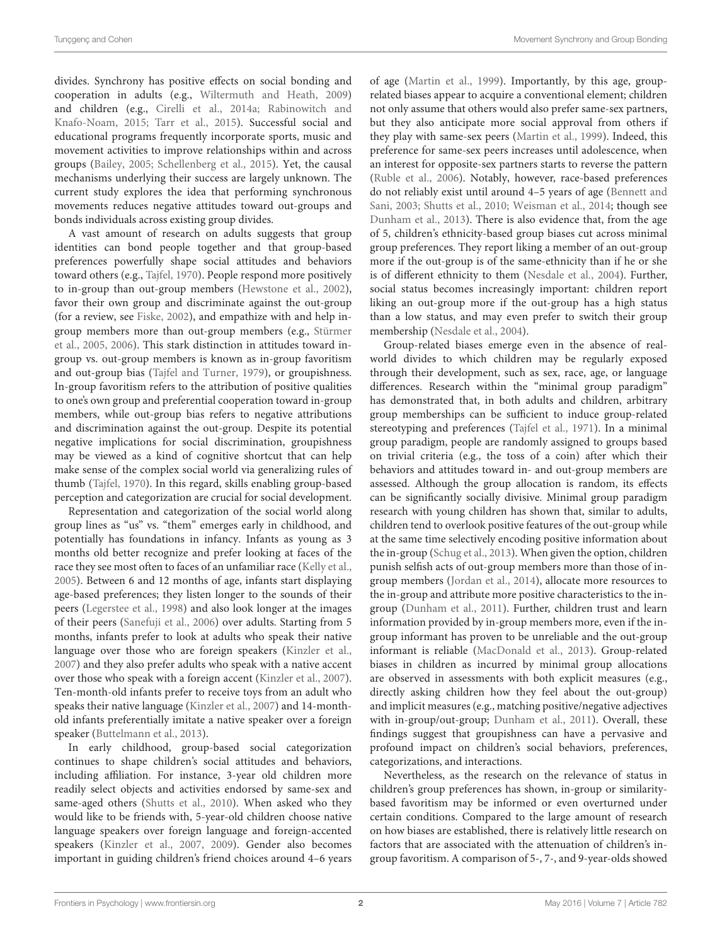divides. Synchrony has positive effects on social bonding and cooperation in adults (e.g., [Wiltermuth and Heath, 2009\)](#page-11-1) and children (e.g., [Cirelli et al., 2014a;](#page-10-1) Rabinowitch and Knafo-Noam, [2015;](#page-10-2) [Tarr et al., 2015\)](#page-11-2). Successful social and educational programs frequently incorporate sports, music and movement activities to improve relationships within and across groups [\(Bailey, 2005;](#page-9-0) [Schellenberg et al., 2015\)](#page-11-3). Yet, the causal mechanisms underlying their success are largely unknown. The current study explores the idea that performing synchronous movements reduces negative attitudes toward out-groups and bonds individuals across existing group divides.

A vast amount of research on adults suggests that group identities can bond people together and that group-based preferences powerfully shape social attitudes and behaviors toward others (e.g., [Tajfel, 1970\)](#page-11-0). People respond more positively to in-group than out-group members [\(Hewstone et al., 2002\)](#page-10-3), favor their own group and discriminate against the out-group (for a review, see [Fiske, 2002\)](#page-10-4), and empathize with and help ingroup members more than out-group members (e.g., Stürmer et al., [2005,](#page-11-4) [2006\)](#page-11-5). This stark distinction in attitudes toward ingroup vs. out-group members is known as in-group favoritism and out-group bias [\(Tajfel and Turner, 1979\)](#page-11-6), or groupishness. In-group favoritism refers to the attribution of positive qualities to one's own group and preferential cooperation toward in-group members, while out-group bias refers to negative attributions and discrimination against the out-group. Despite its potential negative implications for social discrimination, groupishness may be viewed as a kind of cognitive shortcut that can help make sense of the complex social world via generalizing rules of thumb [\(Tajfel, 1970\)](#page-11-0). In this regard, skills enabling group-based perception and categorization are crucial for social development.

Representation and categorization of the social world along group lines as "us" vs. "them" emerges early in childhood, and potentially has foundations in infancy. Infants as young as 3 months old better recognize and prefer looking at faces of the race they see most often to faces of an unfamiliar race [\(Kelly et al.,](#page-10-5) [2005\)](#page-10-5). Between 6 and 12 months of age, infants start displaying age-based preferences; they listen longer to the sounds of their peers [\(Legerstee et al., 1998\)](#page-10-6) and also look longer at the images of their peers [\(Sanefuji et al., 2006\)](#page-11-7) over adults. Starting from 5 months, infants prefer to look at adults who speak their native language over those who are foreign speakers [\(Kinzler et al.,](#page-10-7) [2007\)](#page-10-7) and they also prefer adults who speak with a native accent over those who speak with a foreign accent [\(Kinzler et al., 2007\)](#page-10-7). Ten-month-old infants prefer to receive toys from an adult who speaks their native language [\(Kinzler et al., 2007\)](#page-10-7) and 14-monthold infants preferentially imitate a native speaker over a foreign speaker [\(Buttelmann et al., 2013\)](#page-9-1).

In early childhood, group-based social categorization continues to shape children's social attitudes and behaviors, including affiliation. For instance, 3-year old children more readily select objects and activities endorsed by same-sex and same-aged others [\(Shutts et al., 2010\)](#page-11-8). When asked who they would like to be friends with, 5-year-old children choose native language speakers over foreign language and foreign-accented speakers [\(Kinzler et al., 2007,](#page-10-7) [2009\)](#page-10-8). Gender also becomes important in guiding children's friend choices around 4–6 years of age [\(Martin et al., 1999\)](#page-10-9). Importantly, by this age, grouprelated biases appear to acquire a conventional element; children not only assume that others would also prefer same-sex partners, but they also anticipate more social approval from others if they play with same-sex peers [\(Martin et al., 1999\)](#page-10-9). Indeed, this preference for same-sex peers increases until adolescence, when an interest for opposite-sex partners starts to reverse the pattern [\(Ruble et al., 2006\)](#page-11-9). Notably, however, race-based preferences do not reliably exist until around 4–5 years of age (Bennett and Sani, [2003;](#page-9-2) [Shutts et al., 2010;](#page-11-8) [Weisman et al., 2014;](#page-11-10) though see [Dunham et al., 2013\)](#page-10-10). There is also evidence that, from the age of 5, children's ethnicity-based group biases cut across minimal group preferences. They report liking a member of an out-group more if the out-group is of the same-ethnicity than if he or she is of different ethnicity to them [\(Nesdale et al., 2004\)](#page-10-11). Further, social status becomes increasingly important: children report liking an out-group more if the out-group has a high status than a low status, and may even prefer to switch their group membership [\(Nesdale et al., 2004\)](#page-10-11).

Group-related biases emerge even in the absence of realworld divides to which children may be regularly exposed through their development, such as sex, race, age, or language differences. Research within the "minimal group paradigm" has demonstrated that, in both adults and children, arbitrary group memberships can be sufficient to induce group-related stereotyping and preferences [\(Tajfel et al., 1971\)](#page-11-11). In a minimal group paradigm, people are randomly assigned to groups based on trivial criteria (e.g., the toss of a coin) after which their behaviors and attitudes toward in- and out-group members are assessed. Although the group allocation is random, its effects can be significantly socially divisive. Minimal group paradigm research with young children has shown that, similar to adults, children tend to overlook positive features of the out-group while at the same time selectively encoding positive information about the in-group [\(Schug et al., 2013\)](#page-11-12). When given the option, children punish selfish acts of out-group members more than those of ingroup members [\(Jordan et al., 2014\)](#page-10-12), allocate more resources to the in-group and attribute more positive characteristics to the ingroup [\(Dunham et al., 2011\)](#page-10-13). Further, children trust and learn information provided by in-group members more, even if the ingroup informant has proven to be unreliable and the out-group informant is reliable [\(MacDonald et al., 2013\)](#page-10-14). Group-related biases in children as incurred by minimal group allocations are observed in assessments with both explicit measures (e.g., directly asking children how they feel about the out-group) and implicit measures (e.g., matching positive/negative adjectives with in-group/out-group; [Dunham et al., 2011\)](#page-10-13). Overall, these findings suggest that groupishness can have a pervasive and profound impact on children's social behaviors, preferences, categorizations, and interactions.

Nevertheless, as the research on the relevance of status in children's group preferences has shown, in-group or similaritybased favoritism may be informed or even overturned under certain conditions. Compared to the large amount of research on how biases are established, there is relatively little research on factors that are associated with the attenuation of children's ingroup favoritism. A comparison of 5-, 7-, and 9-year-olds showed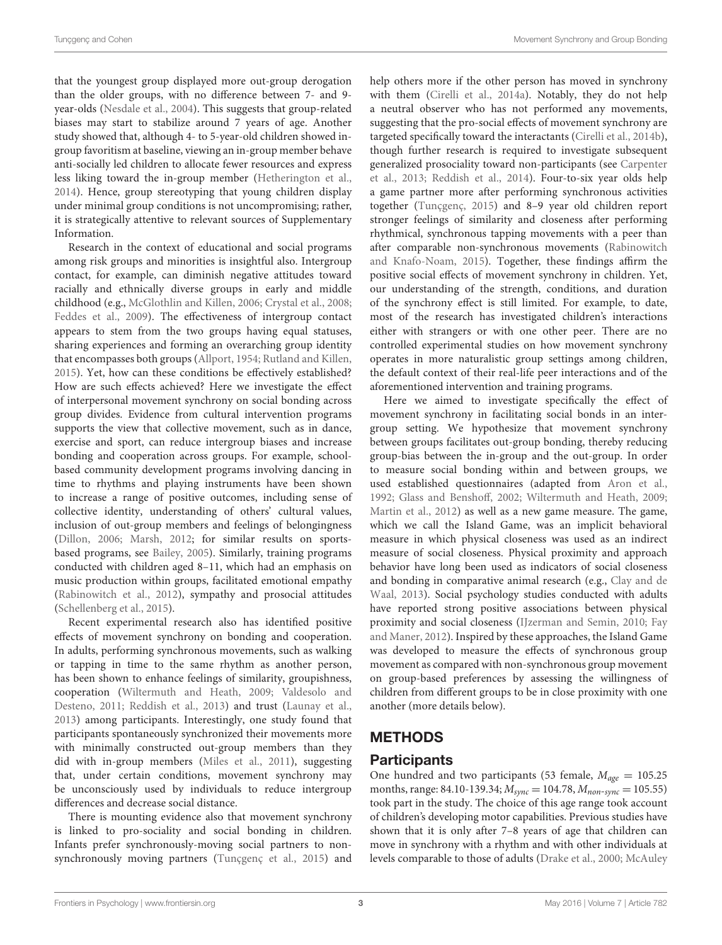that the youngest group displayed more out-group derogation than the older groups, with no difference between 7- and 9 year-olds [\(Nesdale et al., 2004\)](#page-10-11). This suggests that group-related biases may start to stabilize around 7 years of age. Another study showed that, although 4- to 5-year-old children showed ingroup favoritism at baseline, viewing an in-group member behave anti-socially led children to allocate fewer resources and express less liking toward the in-group member [\(Hetherington et al.,](#page-10-15) [2014\)](#page-10-15). Hence, group stereotyping that young children display under minimal group conditions is not uncompromising; rather, it is strategically attentive to relevant sources of Supplementary Information.

Research in the context of educational and social programs among risk groups and minorities is insightful also. Intergroup contact, for example, can diminish negative attitudes toward racially and ethnically diverse groups in early and middle childhood (e.g., [McGlothlin and Killen, 2006;](#page-10-16) [Crystal et al., 2008;](#page-10-17) [Feddes et al., 2009\)](#page-10-18). The effectiveness of intergroup contact appears to stem from the two groups having equal statuses, sharing experiences and forming an overarching group identity that encompasses both groups [\(Allport, 1954;](#page-9-3) [Rutland and Killen,](#page-11-13) [2015\)](#page-11-13). Yet, how can these conditions be effectively established? How are such effects achieved? Here we investigate the effect of interpersonal movement synchrony on social bonding across group divides. Evidence from cultural intervention programs supports the view that collective movement, such as in dance, exercise and sport, can reduce intergroup biases and increase bonding and cooperation across groups. For example, schoolbased community development programs involving dancing in time to rhythms and playing instruments have been shown to increase a range of positive outcomes, including sense of collective identity, understanding of others' cultural values, inclusion of out-group members and feelings of belongingness [\(Dillon, 2006;](#page-10-19) [Marsh, 2012;](#page-10-20) for similar results on sportsbased programs, see [Bailey, 2005\)](#page-9-0). Similarly, training programs conducted with children aged 8–11, which had an emphasis on music production within groups, facilitated emotional empathy [\(Rabinowitch et al., 2012\)](#page-10-21), sympathy and prosocial attitudes [\(Schellenberg et al., 2015\)](#page-11-3).

Recent experimental research also has identified positive effects of movement synchrony on bonding and cooperation. In adults, performing synchronous movements, such as walking or tapping in time to the same rhythm as another person, has been shown to enhance feelings of similarity, groupishness, cooperation [\(Wiltermuth and Heath, 2009;](#page-11-1) Valdesolo and Desteno, [2011;](#page-11-14) [Reddish et al., 2013\)](#page-11-15) and trust [\(Launay et al.,](#page-10-22) [2013\)](#page-10-22) among participants. Interestingly, one study found that participants spontaneously synchronized their movements more with minimally constructed out-group members than they did with in-group members [\(Miles et al., 2011\)](#page-10-23), suggesting that, under certain conditions, movement synchrony may be unconsciously used by individuals to reduce intergroup differences and decrease social distance.

There is mounting evidence also that movement synchrony is linked to pro-sociality and social bonding in children. Infants prefer synchronously-moving social partners to nonsynchronously moving partners [\(Tunçgenç et al., 2015\)](#page-11-16) and help others more if the other person has moved in synchrony with them [\(Cirelli et al., 2014a\)](#page-10-1). Notably, they do not help a neutral observer who has not performed any movements, suggesting that the pro-social effects of movement synchrony are targeted specifically toward the interactants [\(Cirelli et al., 2014b\)](#page-10-24), though further research is required to investigate subsequent generalized prosociality toward non-participants (see Carpenter et al., [2013;](#page-9-4) [Reddish et al., 2014\)](#page-11-17). Four-to-six year olds help a game partner more after performing synchronous activities together [\(Tunçgenç, 2015\)](#page-11-18) and 8–9 year old children report stronger feelings of similarity and closeness after performing rhythmical, synchronous tapping movements with a peer than after comparable non-synchronous movements (Rabinowitch and Knafo-Noam, [2015\)](#page-10-2). Together, these findings affirm the positive social effects of movement synchrony in children. Yet, our understanding of the strength, conditions, and duration of the synchrony effect is still limited. For example, to date, most of the research has investigated children's interactions either with strangers or with one other peer. There are no controlled experimental studies on how movement synchrony operates in more naturalistic group settings among children, the default context of their real-life peer interactions and of the aforementioned intervention and training programs.

Here we aimed to investigate specifically the effect of movement synchrony in facilitating social bonds in an intergroup setting. We hypothesize that movement synchrony between groups facilitates out-group bonding, thereby reducing group-bias between the in-group and the out-group. In order to measure social bonding within and between groups, we used established questionnaires (adapted from [Aron et al.,](#page-9-5) [1992;](#page-9-5) [Glass and Bensho](#page-10-25)ff, [2002;](#page-10-25) [Wiltermuth and Heath, 2009;](#page-11-1) [Martin et al., 2012\)](#page-10-26) as well as a new game measure. The game, which we call the Island Game, was an implicit behavioral measure in which physical closeness was used as an indirect measure of social closeness. Physical proximity and approach behavior have long been used as indicators of social closeness and bonding in comparative animal research (e.g., Clay and de Waal, [2013\)](#page-10-27). Social psychology studies conducted with adults have reported strong positive associations between physical proximity and social closeness [\(IJzerman and Semin, 2010;](#page-10-28) Fay and Maner, [2012\)](#page-10-29). Inspired by these approaches, the Island Game was developed to measure the effects of synchronous group movement as compared with non-synchronous group movement on group-based preferences by assessing the willingness of children from different groups to be in close proximity with one another (more details below).

## **METHODS**

## Participants

One hundred and two participants (53 female,  $M_{age} = 105.25$ months, range: 84.10-139.34;  $M_{sync} = 104.78$ ,  $M_{non-sync} = 105.55$ ) took part in the study. The choice of this age range took account of children's developing motor capabilities. Previous studies have shown that it is only after 7–8 years of age that children can move in synchrony with a rhythm and with other individuals at levels comparable to those of adults [\(Drake et al., 2000;](#page-10-30) McAuley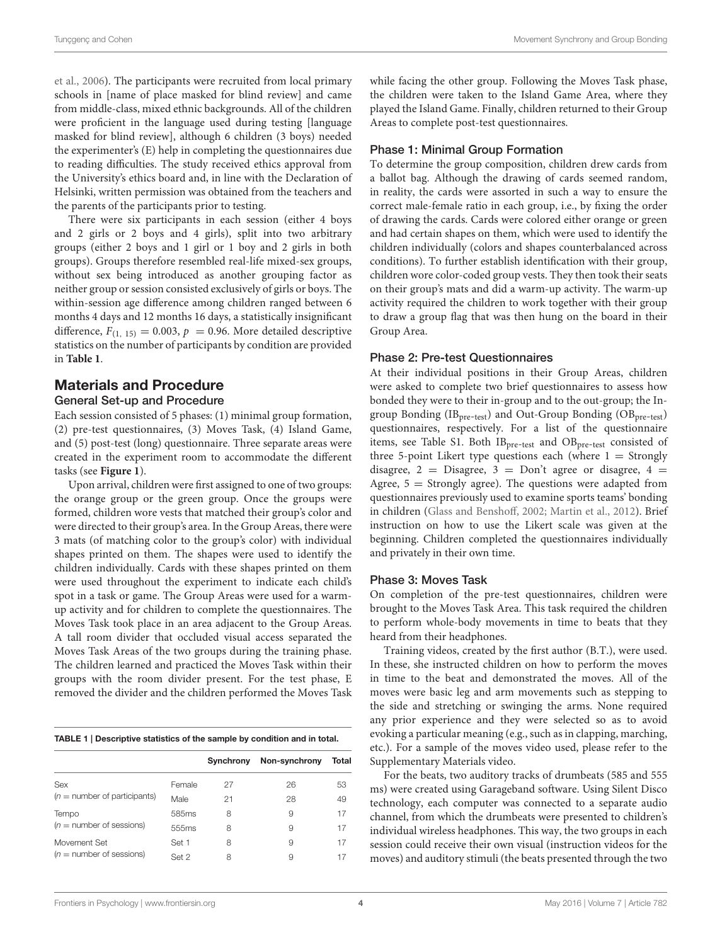et al., [2006\)](#page-10-31). The participants were recruited from local primary schools in [name of place masked for blind review] and came from middle-class, mixed ethnic backgrounds. All of the children were proficient in the language used during testing [language masked for blind review], although 6 children (3 boys) needed the experimenter's (E) help in completing the questionnaires due to reading difficulties. The study received ethics approval from the University's ethics board and, in line with the Declaration of Helsinki, written permission was obtained from the teachers and the parents of the participants prior to testing.

There were six participants in each session (either 4 boys and 2 girls or 2 boys and 4 girls), split into two arbitrary groups (either 2 boys and 1 girl or 1 boy and 2 girls in both groups). Groups therefore resembled real-life mixed-sex groups, without sex being introduced as another grouping factor as neither group or session consisted exclusively of girls or boys. The within-session age difference among children ranged between 6 months 4 days and 12 months 16 days, a statistically insignificant difference,  $F_{(1, 15)} = 0.003$ ,  $p = 0.96$ . More detailed descriptive statistics on the number of participants by condition are provided in **[Table 1](#page-3-0)**.

## Materials and Procedure

## General Set-up and Procedure

Each session consisted of 5 phases: (1) minimal group formation, (2) pre-test questionnaires, (3) Moves Task, (4) Island Game, and (5) post-test (long) questionnaire. Three separate areas were created in the experiment room to accommodate the different tasks (see **[Figure 1](#page-4-0)**).

Upon arrival, children were first assigned to one of two groups: the orange group or the green group. Once the groups were formed, children wore vests that matched their group's color and were directed to their group's area. In the Group Areas, there were 3 mats (of matching color to the group's color) with individual shapes printed on them. The shapes were used to identify the children individually. Cards with these shapes printed on them were used throughout the experiment to indicate each child's spot in a task or game. The Group Areas were used for a warmup activity and for children to complete the questionnaires. The Moves Task took place in an area adjacent to the Group Areas. A tall room divider that occluded visual access separated the Moves Task Areas of the two groups during the training phase. The children learned and practiced the Moves Task within their groups with the room divider present. For the test phase, E removed the divider and the children performed the Moves Task

<span id="page-3-0"></span>

|  |  |  | TABLE 1   Descriptive statistics of the sample by condition and in total. |  |  |  |  |
|--|--|--|---------------------------------------------------------------------------|--|--|--|--|
|--|--|--|---------------------------------------------------------------------------|--|--|--|--|

|                                |        | Synchrony | Non-synchrony | Total |
|--------------------------------|--------|-----------|---------------|-------|
| Sex                            | Female | 27        | 26            | 53    |
| $(n =$ number of participants) | Male   | 21        | 28            | 49    |
| Tempo                          | 585ms  | 8         | 9             | 17    |
| $(n =$ number of sessions)     | 555ms  | 8         | 9             | 17    |
| Movement Set                   | Set 1  | 8         | 9             | 17    |
| $(n =$ number of sessions)     | Set 2  | 8         | 9             |       |

while facing the other group. Following the Moves Task phase, the children were taken to the Island Game Area, where they played the Island Game. Finally, children returned to their Group Areas to complete post-test questionnaires.

#### Phase 1: Minimal Group Formation

To determine the group composition, children drew cards from a ballot bag. Although the drawing of cards seemed random, in reality, the cards were assorted in such a way to ensure the correct male-female ratio in each group, i.e., by fixing the order of drawing the cards. Cards were colored either orange or green and had certain shapes on them, which were used to identify the children individually (colors and shapes counterbalanced across conditions). To further establish identification with their group, children wore color-coded group vests. They then took their seats on their group's mats and did a warm-up activity. The warm-up activity required the children to work together with their group to draw a group flag that was then hung on the board in their Group Area.

#### Phase 2: Pre-test Questionnaires

At their individual positions in their Group Areas, children were asked to complete two brief questionnaires to assess how bonded they were to their in-group and to the out-group; the Ingroup Bonding ( $IB<sub>pre-test</sub>$ ) and Out-Group Bonding ( $OB<sub>pre-test</sub>$ ) questionnaires, respectively. For a list of the questionnaire items, see Table S1. Both IB<sub>pre-test</sub> and OB<sub>pre-test</sub> consisted of three 5-point Likert type questions each (where  $1 =$  Strongly disagree,  $2 =$  Disagree,  $3 =$  Don't agree or disagree,  $4 =$ Agree,  $5 =$  Strongly agree). The questions were adapted from questionnaires previously used to examine sports teams' bonding in children [\(Glass and Bensho](#page-10-25)ff, [2002;](#page-10-25) [Martin et al., 2012\)](#page-10-26). Brief instruction on how to use the Likert scale was given at the beginning. Children completed the questionnaires individually and privately in their own time.

#### Phase 3: Moves Task

On completion of the pre-test questionnaires, children were brought to the Moves Task Area. This task required the children to perform whole-body movements in time to beats that they heard from their headphones.

Training videos, created by the first author (B.T.), were used. In these, she instructed children on how to perform the moves in time to the beat and demonstrated the moves. All of the moves were basic leg and arm movements such as stepping to the side and stretching or swinging the arms. None required any prior experience and they were selected so as to avoid evoking a particular meaning (e.g., such as in clapping, marching, etc.). For a sample of the moves video used, please refer to the Supplementary Materials video.

For the beats, two auditory tracks of drumbeats (585 and 555 ms) were created using Garageband software. Using Silent Disco technology, each computer was connected to a separate audio channel, from which the drumbeats were presented to children's individual wireless headphones. This way, the two groups in each session could receive their own visual (instruction videos for the moves) and auditory stimuli (the beats presented through the two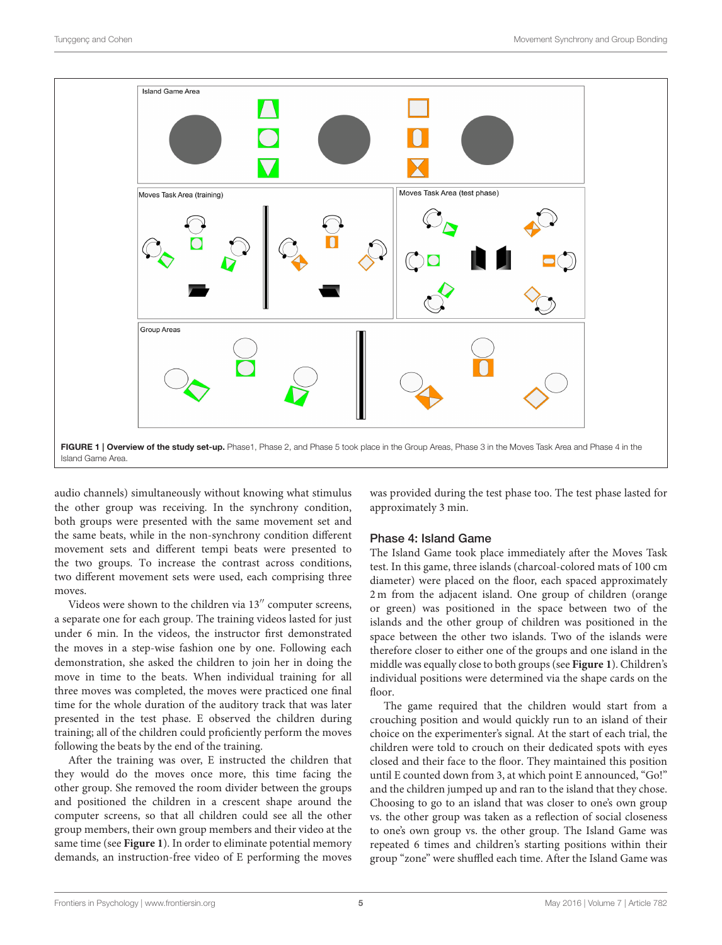

<span id="page-4-0"></span>audio channels) simultaneously without knowing what stimulus the other group was receiving. In the synchrony condition, both groups were presented with the same movement set and the same beats, while in the non-synchrony condition different movement sets and different tempi beats were presented to the two groups. To increase the contrast across conditions, two different movement sets were used, each comprising three moves.

Videos were shown to the children via 13′′ computer screens, a separate one for each group. The training videos lasted for just under 6 min. In the videos, the instructor first demonstrated the moves in a step-wise fashion one by one. Following each demonstration, she asked the children to join her in doing the move in time to the beats. When individual training for all three moves was completed, the moves were practiced one final time for the whole duration of the auditory track that was later presented in the test phase. E observed the children during training; all of the children could proficiently perform the moves following the beats by the end of the training.

After the training was over, E instructed the children that they would do the moves once more, this time facing the other group. She removed the room divider between the groups and positioned the children in a crescent shape around the computer screens, so that all children could see all the other group members, their own group members and their video at the same time (see **[Figure 1](#page-4-0)**). In order to eliminate potential memory demands, an instruction-free video of E performing the moves was provided during the test phase too. The test phase lasted for approximately 3 min.

#### Phase 4: Island Game

The Island Game took place immediately after the Moves Task test. In this game, three islands (charcoal-colored mats of 100 cm diameter) were placed on the floor, each spaced approximately 2 m from the adjacent island. One group of children (orange or green) was positioned in the space between two of the islands and the other group of children was positioned in the space between the other two islands. Two of the islands were therefore closer to either one of the groups and one island in the middle was equally close to both groups (see **[Figure 1](#page-4-0)**). Children's individual positions were determined via the shape cards on the floor.

The game required that the children would start from a crouching position and would quickly run to an island of their choice on the experimenter's signal. At the start of each trial, the children were told to crouch on their dedicated spots with eyes closed and their face to the floor. They maintained this position until E counted down from 3, at which point E announced, "Go!" and the children jumped up and ran to the island that they chose. Choosing to go to an island that was closer to one's own group vs. the other group was taken as a reflection of social closeness to one's own group vs. the other group. The Island Game was repeated 6 times and children's starting positions within their group "zone" were shuffled each time. After the Island Game was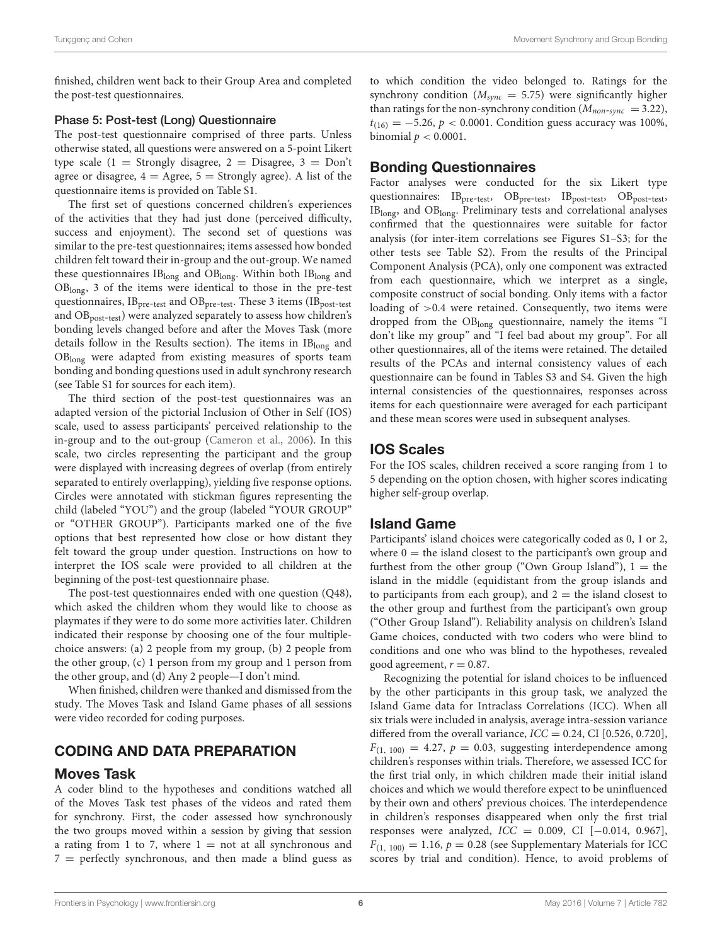finished, children went back to their Group Area and completed the post-test questionnaires.

#### Phase 5: Post-test (Long) Questionnaire

The post-test questionnaire comprised of three parts. Unless otherwise stated, all questions were answered on a 5-point Likert type scale  $(1 =$  Strongly disagree,  $2 =$  Disagree,  $3 =$  Don't agree or disagree,  $4 = \text{Agree}$ ,  $5 = \text{Strongly agree}$ ). A list of the questionnaire items is provided on Table S1.

The first set of questions concerned children's experiences of the activities that they had just done (perceived difficulty, success and enjoyment). The second set of questions was similar to the pre-test questionnaires; items assessed how bonded children felt toward their in-group and the out-group. We named these questionnaires  $IB_{long}$  and  $OB_{long}$ . Within both  $IB_{long}$  and OBlong, 3 of the items were identical to those in the pre-test questionnaires,  $IB<sub>pre-test</sub>$  and  $OB<sub>pre-test</sub>$ . These 3 items ( $IB<sub>post-test</sub>$ and OB<sub>post-test</sub>) were analyzed separately to assess how children's bonding levels changed before and after the Moves Task (more details follow in the Results section). The items in IBlong and OBlong were adapted from existing measures of sports team bonding and bonding questions used in adult synchrony research (see Table S1 for sources for each item).

The third section of the post-test questionnaires was an adapted version of the pictorial Inclusion of Other in Self (IOS) scale, used to assess participants' perceived relationship to the in-group and to the out-group [\(Cameron et al., 2006\)](#page-9-6). In this scale, two circles representing the participant and the group were displayed with increasing degrees of overlap (from entirely separated to entirely overlapping), yielding five response options. Circles were annotated with stickman figures representing the child (labeled "YOU") and the group (labeled "YOUR GROUP" or "OTHER GROUP"). Participants marked one of the five options that best represented how close or how distant they felt toward the group under question. Instructions on how to interpret the IOS scale were provided to all children at the beginning of the post-test questionnaire phase.

The post-test questionnaires ended with one question (Q48), which asked the children whom they would like to choose as playmates if they were to do some more activities later. Children indicated their response by choosing one of the four multiplechoice answers: (a) 2 people from my group, (b) 2 people from the other group, (c) 1 person from my group and 1 person from the other group, and (d) Any 2 people—I don't mind.

When finished, children were thanked and dismissed from the study. The Moves Task and Island Game phases of all sessions were video recorded for coding purposes.

## CODING AND DATA PREPARATION

#### Moves Task

A coder blind to the hypotheses and conditions watched all of the Moves Task test phases of the videos and rated them for synchrony. First, the coder assessed how synchronously the two groups moved within a session by giving that session a rating from 1 to 7, where  $1 = not$  at all synchronous and  $7$  = perfectly synchronous, and then made a blind guess as to which condition the video belonged to. Ratings for the synchrony condition ( $M_{sync} = 5.75$ ) were significantly higher than ratings for the non-synchrony condition ( $M_{non-sync}$  = 3.22),  $t_{(16)} = -5.26$ ,  $p < 0.0001$ . Condition guess accuracy was 100%, binomial  $p < 0.0001$ .

## Bonding Questionnaires

Factor analyses were conducted for the six Likert type questionnaires: IB<sub>pre-test</sub>, OB<sub>pre-test</sub>, IB<sub>post-test</sub>, OB<sub>post-test</sub>, IBlong, and OBlong. Preliminary tests and correlational analyses confirmed that the questionnaires were suitable for factor analysis (for inter-item correlations see Figures S1–S3; for the other tests see Table S2). From the results of the Principal Component Analysis (PCA), only one component was extracted from each questionnaire, which we interpret as a single, composite construct of social bonding. Only items with a factor loading of >0.4 were retained. Consequently, two items were dropped from the OBlong questionnaire, namely the items "I don't like my group" and "I feel bad about my group". For all other questionnaires, all of the items were retained. The detailed results of the PCAs and internal consistency values of each questionnaire can be found in Tables S3 and S4. Given the high internal consistencies of the questionnaires, responses across items for each questionnaire were averaged for each participant and these mean scores were used in subsequent analyses.

## IOS Scales

For the IOS scales, children received a score ranging from 1 to 5 depending on the option chosen, with higher scores indicating higher self-group overlap.

## Island Game

Participants' island choices were categorically coded as 0, 1 or 2, where  $0 =$  the island closest to the participant's own group and furthest from the other group ("Own Group Island"),  $1 =$  the island in the middle (equidistant from the group islands and to participants from each group), and  $2 =$  the island closest to the other group and furthest from the participant's own group ("Other Group Island"). Reliability analysis on children's Island Game choices, conducted with two coders who were blind to conditions and one who was blind to the hypotheses, revealed good agreement,  $r = 0.87$ .

Recognizing the potential for island choices to be influenced by the other participants in this group task, we analyzed the Island Game data for Intraclass Correlations (ICC). When all six trials were included in analysis, average intra-session variance differed from the overall variance,  $ICC = 0.24$ , CI [0.526, 0.720],  $F_{(1, 100)} = 4.27$ ,  $p = 0.03$ , suggesting interdependence among children's responses within trials. Therefore, we assessed ICC for the first trial only, in which children made their initial island choices and which we would therefore expect to be uninfluenced by their own and others' previous choices. The interdependence in children's responses disappeared when only the first trial responses were analyzed,  $ICC = 0.009$ ,  $CI [-0.014, 0.967]$ ,  $F_{(1, 100)} = 1.16$ ,  $p = 0.28$  (see Supplementary Materials for ICC scores by trial and condition). Hence, to avoid problems of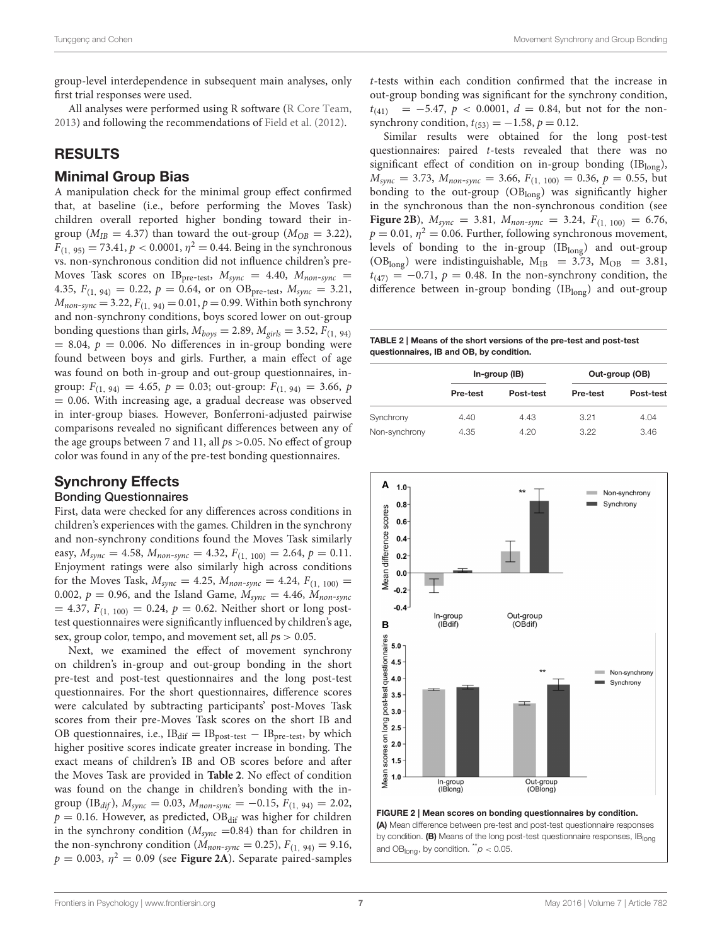group-level interdependence in subsequent main analyses, only first trial responses were used.

All analyses were performed using R software [\(R Core Team,](#page-11-19) [2013\)](#page-11-19) and following the recommendations of [Field et al.](#page-10-32) [\(2012\)](#page-10-32).

## RESULTS

## Minimal Group Bias

A manipulation check for the minimal group effect confirmed that, at baseline (i.e., before performing the Moves Task) children overall reported higher bonding toward their ingroup ( $M_{IB} = 4.37$ ) than toward the out-group ( $M_{OB} = 3.22$ ),  $F_{(1, 95)} = 73.41, p < 0.0001, \eta^2 = 0.44$ . Being in the synchronous vs. non-synchronous condition did not influence children's pre-Moves Task scores on IB<sub>pre-test</sub>,  $M_{sync}$  = 4.40,  $M_{non-sync}$  = 4.35,  $F_{(1, 94)} = 0.22$ ,  $p = 0.64$ , or on OB<sub>pre-test</sub>,  $M_{sync} = 3.21$ ,  $M_{non-sync} = 3.22, F_{(1, 94)} = 0.01, p = 0.99$ . Within both synchrony and non-synchrony conditions, boys scored lower on out-group bonding questions than girls,  $M_{\text{boys}} = 2.89$ ,  $M_{\text{eirls}} = 3.52$ ,  $F_{(1, 94)}$  $= 8.04, p = 0.006$ . No differences in in-group bonding were found between boys and girls. Further, a main effect of age was found on both in-group and out-group questionnaires, ingroup:  $F_{(1, 94)} = 4.65$ ,  $p = 0.03$ ; out-group:  $F_{(1, 94)} = 3.66$ ,  $p$ = 0.06. With increasing age, a gradual decrease was observed in inter-group biases. However, Bonferroni-adjusted pairwise comparisons revealed no significant differences between any of the age groups between 7 and 11, all  $ps > 0.05$ . No effect of group color was found in any of the pre-test bonding questionnaires.

## Synchrony Effects

#### Bonding Questionnaires

First, data were checked for any differences across conditions in children's experiences with the games. Children in the synchrony and non-synchrony conditions found the Moves Task similarly easy,  $M_{sync} = 4.58$ ,  $M_{non-sync} = 4.32$ ,  $F_{(1, 100)} = 2.64$ ,  $p = 0.11$ . Enjoyment ratings were also similarly high across conditions for the Moves Task,  $M_{sync} = 4.25$ ,  $M_{non-sync} = 4.24$ ,  $F_{(1, 100)} =$ 0.002,  $p = 0.96$ , and the Island Game,  $M_{sync} = 4.46$ ,  $M_{non-sync}$  $= 4.37, F_{(1, 100)} = 0.24, p = 0.62$ . Neither short or long posttest questionnaires were significantly influenced by children's age, sex, group color, tempo, and movement set, all  $ps > 0.05$ .

Next, we examined the effect of movement synchrony on children's in-group and out-group bonding in the short pre-test and post-test questionnaires and the long post-test questionnaires. For the short questionnaires, difference scores were calculated by subtracting participants' post-Moves Task scores from their pre-Moves Task scores on the short IB and OB questionnaires, i.e.,  $IB_{dif} = IB_{post-test} - IB_{pre-test}$ , by which higher positive scores indicate greater increase in bonding. The exact means of children's IB and OB scores before and after the Moves Task are provided in **[Table 2](#page-6-0)**. No effect of condition was found on the change in children's bonding with the ingroup (IB<sub>dif</sub>),  $M_{sync} = 0.03$ ,  $M_{non-sync} = -0.15$ ,  $F_{(1, 94)} = 2.02$ ,  $p = 0.16$ . However, as predicted, OB<sub>dif</sub> was higher for children in the synchrony condition ( $M_{sync}$  =0.84) than for children in the non-synchrony condition ( $M_{non-sync} = 0.25$ ),  $F_{(1, 94)} = 9.16$ ,  $p = 0.003$ ,  $\eta^2 = 0.09$  (see **[Figure 2A](#page-6-1)**). Separate paired-samples

t-tests within each condition confirmed that the increase in out-group bonding was significant for the synchrony condition,  $t_{(41)}$  = -5.47, p < 0.0001, d = 0.84, but not for the nonsynchrony condition,  $t_{(53)} = -1.58$ ,  $p = 0.12$ .

Similar results were obtained for the long post-test questionnaires: paired t-tests revealed that there was no significant effect of condition on in-group bonding (IBlong),  $M_{sync} = 3.73$ ,  $M_{non-sync} = 3.66$ ,  $F_{(1, 100)} = 0.36$ ,  $p = 0.55$ , but bonding to the out-group (OBlong) was significantly higher in the synchronous than the non-synchronous condition (see **[Figure 2B](#page-6-1)**),  $M_{sync} = 3.81$ ,  $M_{non-sync} = 3.24$ ,  $F_{(1, 100)} = 6.76$ ,  $p = 0.01$ ,  $\eta^2 = 0.06$ . Further, following synchronous movement, levels of bonding to the in-group  $(IB_{long})$  and out-group (OB<sub>long</sub>) were indistinguishable,  $M_{IB}$  = 3.73,  $M_{OB}$  = 3.81,  $t_{(47)} = -0.71$ ,  $p = 0.48$ . In the non-synchrony condition, the difference between in-group bonding  $(IB_{long})$  and out-group

<span id="page-6-0"></span>TABLE 2 | Means of the short versions of the pre-test and post-test questionnaires, IB and OB, by condition.

|               | In-group (IB)   |           | Out-group (OB) |           |  |
|---------------|-----------------|-----------|----------------|-----------|--|
|               | <b>Pre-test</b> | Post-test | Pre-test       | Post-test |  |
| Synchrony     | 4.40            | 4.43      | 3.21           | 4.04      |  |
| Non-synchrony | 4.35            | 4.20      | 3.22           | 3.46      |  |

<span id="page-6-1"></span>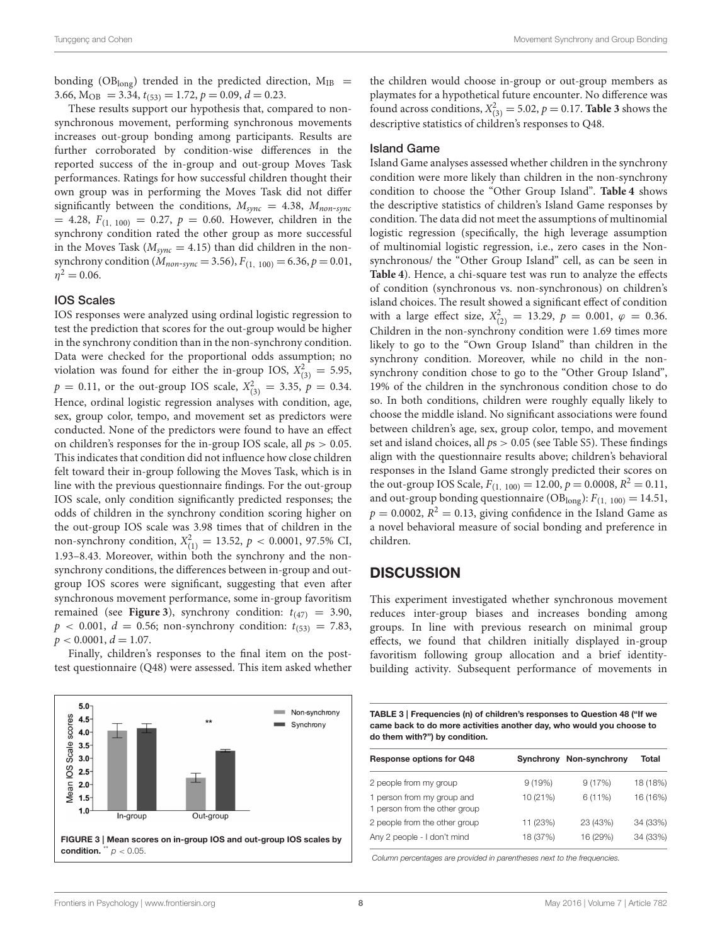bonding (OB<sub>long</sub>) trended in the predicted direction,  $M_{IB}$  = 3.66,  $M_{OB} = 3.\overline{3}4$ ,  $t_{(53)} = 1.72$ ,  $p = 0.09$ ,  $d = 0.23$ .

These results support our hypothesis that, compared to nonsynchronous movement, performing synchronous movements increases out-group bonding among participants. Results are further corroborated by condition-wise differences in the reported success of the in-group and out-group Moves Task performances. Ratings for how successful children thought their own group was in performing the Moves Task did not differ significantly between the conditions,  $M_{sync} = 4.38$ ,  $M_{non-sync}$  $= 4.28, F_{(1, 100)} = 0.27, p = 0.60$ . However, children in the synchrony condition rated the other group as more successful in the Moves Task ( $M_{sync} = 4.15$ ) than did children in the nonsynchrony condition ( $M_{non-sync} = 3.56$ ),  $F_{(1, 100)} = 6.36$ ,  $p = 0.01$ ,  $\eta^2 = 0.06$ .

#### IOS Scales

IOS responses were analyzed using ordinal logistic regression to test the prediction that scores for the out-group would be higher in the synchrony condition than in the non-synchrony condition. Data were checked for the proportional odds assumption; no violation was found for either the in-group IOS,  $X_{(3)}^2 = 5.95$ ,  $p = 0.11$ , or the out-group IOS scale,  $X_{(3)}^2 = 3.35$ ,  $p = 0.34$ . Hence, ordinal logistic regression analyses with condition, age, sex, group color, tempo, and movement set as predictors were conducted. None of the predictors were found to have an effect on children's responses for the in-group IOS scale, all  $ps > 0.05$ . This indicates that condition did not influence how close children felt toward their in-group following the Moves Task, which is in line with the previous questionnaire findings. For the out-group IOS scale, only condition significantly predicted responses; the odds of children in the synchrony condition scoring higher on the out-group IOS scale was 3.98 times that of children in the non-synchrony condition,  $X_{(1)}^2 = 13.52$ ,  $p < 0.0001$ , 97.5% CI, 1.93–8.43. Moreover, within both the synchrony and the nonsynchrony conditions, the differences between in-group and outgroup IOS scores were significant, suggesting that even after synchronous movement performance, some in-group favoritism remained (see **[Figure 3](#page-7-0)**), synchrony condition:  $t_{(47)} = 3.90$ ,  $p \lt 0.001$ ,  $d = 0.56$ ; non-synchrony condition:  $t_{(53)} = 7.83$ ,  $p < 0.0001, d = 1.07.$ 

Finally, children's responses to the final item on the posttest questionnaire (Q48) were assessed. This item asked whether

<span id="page-7-0"></span>

the children would choose in-group or out-group members as playmates for a hypothetical future encounter. No difference was found across conditions,  $X_{(3)}^2 = 5.02$ ,  $p = 0.17$ . **[Table 3](#page-7-1)** shows the descriptive statistics of children's responses to Q48.

#### Island Game

Island Game analyses assessed whether children in the synchrony condition were more likely than children in the non-synchrony condition to choose the "Other Group Island". **[Table 4](#page-8-0)** shows the descriptive statistics of children's Island Game responses by condition. The data did not meet the assumptions of multinomial logistic regression (specifically, the high leverage assumption of multinomial logistic regression, i.e., zero cases in the Nonsynchronous/ the "Other Group Island" cell, as can be seen in **[Table 4](#page-8-0)**). Hence, a chi-square test was run to analyze the effects of condition (synchronous vs. non-synchronous) on children's island choices. The result showed a significant effect of condition with a large effect size,  $X_{(2)}^2 = 13.29$ ,  $p = 0.001$ ,  $\varphi = 0.36$ . Children in the non-synchrony condition were 1.69 times more likely to go to the "Own Group Island" than children in the synchrony condition. Moreover, while no child in the nonsynchrony condition chose to go to the "Other Group Island", 19% of the children in the synchronous condition chose to do so. In both conditions, children were roughly equally likely to choose the middle island. No significant associations were found between children's age, sex, group color, tempo, and movement set and island choices, all  $ps > 0.05$  (see Table S5). These findings align with the questionnaire results above; children's behavioral responses in the Island Game strongly predicted their scores on the out-group IOS Scale,  $F_{(1, 100)} = 12.00$ ,  $p = 0.0008$ ,  $R^2 = 0.11$ , and out-group bonding questionnaire ( $OB_{long}$ ):  $F_{(1, 100)} = 14.51$ ,  $p = 0.0002$ ,  $R^2 = 0.13$ , giving confidence in the Island Game as a novel behavioral measure of social bonding and preference in children.

## **DISCUSSION**

This experiment investigated whether synchronous movement reduces inter-group biases and increases bonding among groups. In line with previous research on minimal group effects, we found that children initially displayed in-group favoritism following group allocation and a brief identitybuilding activity. Subsequent performance of movements in

<span id="page-7-1"></span>

| TABLE 3   Frequencies (n) of children's responses to Question 48 ("If we |
|--------------------------------------------------------------------------|
| came back to do more activities another day, who would you choose to     |
| do them with?") by condition.                                            |

| <b>Response options for Q48</b>                             |          | Synchrony Non-synchrony | Total    |
|-------------------------------------------------------------|----------|-------------------------|----------|
| 2 people from my group                                      | 9(19%)   | 9(17%)                  | 18 (18%) |
| 1 person from my group and<br>1 person from the other group | 10 (21%) | 6(11%)                  | 16 (16%) |
| 2 people from the other group                               | 11 (23%) | 23 (43%)                | 34 (33%) |
| Any 2 people - I don't mind                                 | 18 (37%) | 16 (29%)                | 34 (33%) |

Column percentages are provided in parentheses next to the frequencies.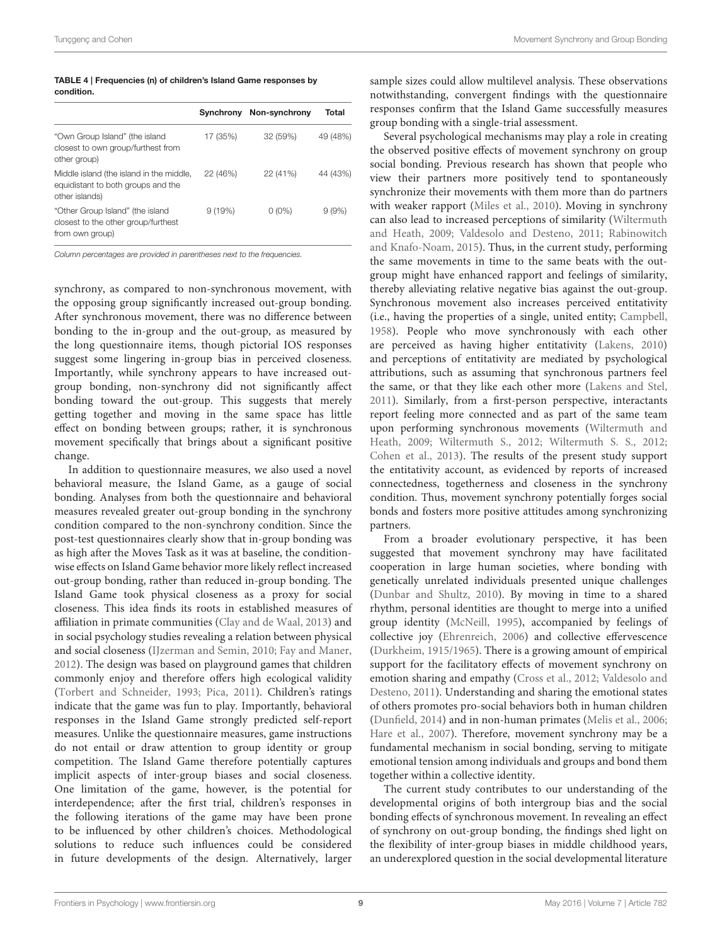<span id="page-8-0"></span>TABLE 4 | Frequencies (n) of children's Island Game responses by condition.

|                                                                                                  | Synchrony | Non-synchrony | Total    |
|--------------------------------------------------------------------------------------------------|-----------|---------------|----------|
| "Own Group Island" (the island<br>closest to own group/furthest from<br>other group)             | 17 (35%)  | 32 (59%)      | 49 (48%) |
| Middle island (the island in the middle,<br>equidistant to both groups and the<br>other islands) | 22 (46%)  | 22 (41%)      | 44 (43%) |
| "Other Group Island" (the island<br>closest to the other group/furthest<br>from own group)       | 9(19%)    | $0(0\%)$      | 9(9%)    |

Column percentages are provided in parentheses next to the frequencies.

synchrony, as compared to non-synchronous movement, with the opposing group significantly increased out-group bonding. After synchronous movement, there was no difference between bonding to the in-group and the out-group, as measured by the long questionnaire items, though pictorial IOS responses suggest some lingering in-group bias in perceived closeness. Importantly, while synchrony appears to have increased outgroup bonding, non-synchrony did not significantly affect bonding toward the out-group. This suggests that merely getting together and moving in the same space has little effect on bonding between groups; rather, it is synchronous movement specifically that brings about a significant positive change.

In addition to questionnaire measures, we also used a novel behavioral measure, the Island Game, as a gauge of social bonding. Analyses from both the questionnaire and behavioral measures revealed greater out-group bonding in the synchrony condition compared to the non-synchrony condition. Since the post-test questionnaires clearly show that in-group bonding was as high after the Moves Task as it was at baseline, the conditionwise effects on Island Game behavior more likely reflect increased out-group bonding, rather than reduced in-group bonding. The Island Game took physical closeness as a proxy for social closeness. This idea finds its roots in established measures of affiliation in primate communities [\(Clay and de Waal, 2013\)](#page-10-27) and in social psychology studies revealing a relation between physical and social closeness [\(IJzerman and Semin, 2010;](#page-10-28) [Fay and Maner,](#page-10-29) [2012\)](#page-10-29). The design was based on playground games that children commonly enjoy and therefore offers high ecological validity [\(Torbert and Schneider, 1993;](#page-11-20) [Pica, 2011\)](#page-10-33). Children's ratings indicate that the game was fun to play. Importantly, behavioral responses in the Island Game strongly predicted self-report measures. Unlike the questionnaire measures, game instructions do not entail or draw attention to group identity or group competition. The Island Game therefore potentially captures implicit aspects of inter-group biases and social closeness. One limitation of the game, however, is the potential for interdependence; after the first trial, children's responses in the following iterations of the game may have been prone to be influenced by other children's choices. Methodological solutions to reduce such influences could be considered in future developments of the design. Alternatively, larger sample sizes could allow multilevel analysis. These observations notwithstanding, convergent findings with the questionnaire responses confirm that the Island Game successfully measures group bonding with a single-trial assessment.

Several psychological mechanisms may play a role in creating the observed positive effects of movement synchrony on group social bonding. Previous research has shown that people who view their partners more positively tend to spontaneously synchronize their movements with them more than do partners with weaker rapport [\(Miles et al., 2010\)](#page-10-34). Moving in synchrony can also lead to increased perceptions of similarity (Wiltermuth and Heath, [2009;](#page-11-1) [Valdesolo and Desteno, 2011;](#page-11-14) Rabinowitch and Knafo-Noam, [2015\)](#page-10-2). Thus, in the current study, performing the same movements in time to the same beats with the outgroup might have enhanced rapport and feelings of similarity, thereby alleviating relative negative bias against the out-group. Synchronous movement also increases perceived entitativity (i.e., having the properties of a single, united entity; [Campbell,](#page-9-7) [1958\)](#page-9-7). People who move synchronously with each other are perceived as having higher entitativity [\(Lakens, 2010\)](#page-10-35) and perceptions of entitativity are mediated by psychological attributions, such as assuming that synchronous partners feel the same, or that they like each other more [\(Lakens and Stel,](#page-10-36) [2011\)](#page-10-36). Similarly, from a first-person perspective, interactants report feeling more connected and as part of the same team upon performing synchronous movements (Wiltermuth and Heath, [2009;](#page-11-1) [Wiltermuth S., 2012;](#page-11-21) [Wiltermuth S. S., 2012;](#page-11-22) [Cohen et al., 2013\)](#page-10-37). The results of the present study support the entitativity account, as evidenced by reports of increased connectedness, togetherness and closeness in the synchrony condition. Thus, movement synchrony potentially forges social bonds and fosters more positive attitudes among synchronizing partners.

From a broader evolutionary perspective, it has been suggested that movement synchrony may have facilitated cooperation in large human societies, where bonding with genetically unrelated individuals presented unique challenges [\(Dunbar and Shultz, 2010\)](#page-10-38). By moving in time to a shared rhythm, personal identities are thought to merge into a unified group identity [\(McNeill, 1995\)](#page-10-39), accompanied by feelings of collective joy [\(Ehrenreich, 2006\)](#page-10-40) and collective effervescence [\(Durkheim, 1915/1965\)](#page-10-41). There is a growing amount of empirical support for the facilitatory effects of movement synchrony on emotion sharing and empathy [\(Cross et al., 2012;](#page-10-42) Valdesolo and Desteno, [2011\)](#page-11-14). Understanding and sharing the emotional states of others promotes pro-social behaviors both in human children [\(Dunfield, 2014\)](#page-10-43) and in non-human primates [\(Melis et al., 2006;](#page-10-44) [Hare et al., 2007\)](#page-10-45). Therefore, movement synchrony may be a fundamental mechanism in social bonding, serving to mitigate emotional tension among individuals and groups and bond them together within a collective identity.

The current study contributes to our understanding of the developmental origins of both intergroup bias and the social bonding effects of synchronous movement. In revealing an effect of synchrony on out-group bonding, the findings shed light on the flexibility of inter-group biases in middle childhood years, an underexplored question in the social developmental literature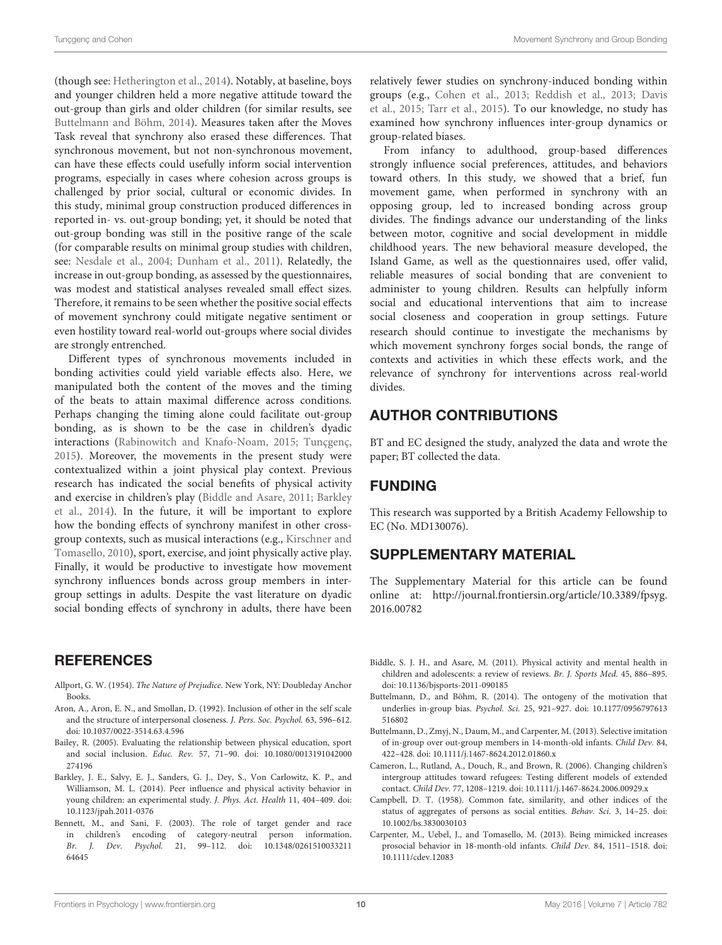(though see: [Hetherington et al., 2014\)](#page-10-15). Notably, at baseline, boys and younger children held a more negative attitude toward the out-group than girls and older children (for similar results, see [Buttelmann and Böhm, 2014\)](#page-9-8). Measures taken after the Moves Task reveal that synchrony also erased these differences. That synchronous movement, but not non-synchronous movement, can have these effects could usefully inform social intervention programs, especially in cases where cohesion across groups is challenged by prior social, cultural or economic divides. In this study, minimal group construction produced differences in reported in- vs. out-group bonding; yet, it should be noted that out-group bonding was still in the positive range of the scale (for comparable results on minimal group studies with children, see: [Nesdale et al., 2004;](#page-10-11) [Dunham et al., 2011\)](#page-10-13). Relatedly, the increase in out-group bonding, as assessed by the questionnaires, was modest and statistical analyses revealed small effect sizes. Therefore, it remains to be seen whether the positive social effects of movement synchrony could mitigate negative sentiment or even hostility toward real-world out-groups where social divides are strongly entrenched.

Different types of synchronous movements included in bonding activities could yield variable effects also. Here, we manipulated both the content of the moves and the timing of the beats to attain maximal difference across conditions. Perhaps changing the timing alone could facilitate out-group bonding, as is shown to be the case in children's dyadic interactions [\(Rabinowitch and Knafo-Noam, 2015;](#page-10-2) [Tunçgenç,](#page-11-18) [2015\)](#page-11-18). Moreover, the movements in the present study were contextualized within a joint physical play context. Previous research has indicated the social benefits of physical activity and exercise in children's play [\(Biddle and Asare, 2011;](#page-9-9) Barkley et al., [2014\)](#page-9-10). In the future, it will be important to explore how the bonding effects of synchrony manifest in other crossgroup contexts, such as musical interactions (e.g., Kirschner and Tomasello, [2010\)](#page-10-46), sport, exercise, and joint physically active play. Finally, it would be productive to investigate how movement synchrony influences bonds across group members in intergroup settings in adults. Despite the vast literature on dyadic social bonding effects of synchrony in adults, there have been

## **REFERENCES**

- <span id="page-9-3"></span>Allport, G. W. (1954). The Nature of Prejudice. New York, NY: Doubleday Anchor Books.
- <span id="page-9-5"></span>Aron, A., Aron, E. N., and Smollan, D. (1992). Inclusion of other in the self scale and the structure of interpersonal closeness. J. Pers. Soc. Psychol. 63, 596–612. doi: 10.1037/0022-3514.63.4.596
- <span id="page-9-0"></span>Bailey, R. (2005). Evaluating the relationship between physical education, sport and social inclusion. Educ. Rev. 57, 71–90. doi: 10.1080/0013191042000 274196
- <span id="page-9-10"></span>Barkley, J. E., Salvy, E. J., Sanders, G. J., Dey, S., Von Carlowitz, K. P., and Williamson, M. L. (2014). Peer influence and physical activity behavior in young children: an experimental study. J. Phys. Act. Health 11, 404–409. doi: 10.1123/jpah.2011-0376
- <span id="page-9-2"></span>Bennett, M., and Sani, F. (2003). The role of target gender and race in children's encoding of category-neutral person information. Br. J. Dev. Psychol. 21, 99–112. doi: 10.1348/0261510033211 64645

relatively fewer studies on synchrony-induced bonding within groups (e.g., [Cohen et al., 2013;](#page-10-37) [Reddish et al., 2013;](#page-11-15) Davis et al., [2015;](#page-10-47) [Tarr et al., 2015\)](#page-11-2). To our knowledge, no study has examined how synchrony influences inter-group dynamics or group-related biases.

From infancy to adulthood, group-based differences strongly influence social preferences, attitudes, and behaviors toward others. In this study, we showed that a brief, fun movement game, when performed in synchrony with an opposing group, led to increased bonding across group divides. The findings advance our understanding of the links between motor, cognitive and social development in middle childhood years. The new behavioral measure developed, the Island Game, as well as the questionnaires used, offer valid, reliable measures of social bonding that are convenient to administer to young children. Results can helpfully inform social and educational interventions that aim to increase social closeness and cooperation in group settings. Future research should continue to investigate the mechanisms by which movement synchrony forges social bonds, the range of contexts and activities in which these effects work, and the relevance of synchrony for interventions across real-world divides.

## AUTHOR CONTRIBUTIONS

BT and EC designed the study, analyzed the data and wrote the paper; BT collected the data.

## FUNDING

This research was supported by a British Academy Fellowship to EC (No. MD130076).

## SUPPLEMENTARY MATERIAL

The Supplementary Material for this article can be found [online at: http://journal.frontiersin.org/article/10.3389/fpsyg.](http://journal.frontiersin.org/article/10.3389/fpsyg.2016.00782) 2016.00782

- <span id="page-9-9"></span>Biddle, S. J. H., and Asare, M. (2011). Physical activity and mental health in children and adolescents: a review of reviews. Br. J. Sports Med. 45, 886–895. doi: 10.1136/bjsports-2011-090185
- <span id="page-9-8"></span>Buttelmann, D., and Böhm, R. (2014). The ontogeny of the motivation that underlies in-group bias. Psychol. Sci. 25, 921–927. doi: 10.1177/0956797613 516802
- <span id="page-9-1"></span>Buttelmann, D., Zmyj, N., Daum, M., and Carpenter, M. (2013). Selective imitation of in-group over out-group members in 14-month-old infants. Child Dev. 84, 422–428. doi: 10.1111/j.1467-8624.2012.01860.x
- <span id="page-9-6"></span>Cameron, L., Rutland, A., Douch, R., and Brown, R. (2006). Changing children's intergroup attitudes toward refugees: Testing different models of extended contact. Child Dev. 77, 1208–1219. doi: 10.1111/j.1467-8624.2006.00929.x
- <span id="page-9-7"></span>Campbell, D. T. (1958). Common fate, similarity, and other indices of the status of aggregates of persons as social entities. Behav. Sci. 3, 14–25. doi: 10.1002/bs.3830030103
- <span id="page-9-4"></span>Carpenter, M., Uebel, J., and Tomasello, M. (2013). Being mimicked increases prosocial behavior in 18-month-old infants. Child Dev. 84, 1511–1518. doi: 10.1111/cdev.12083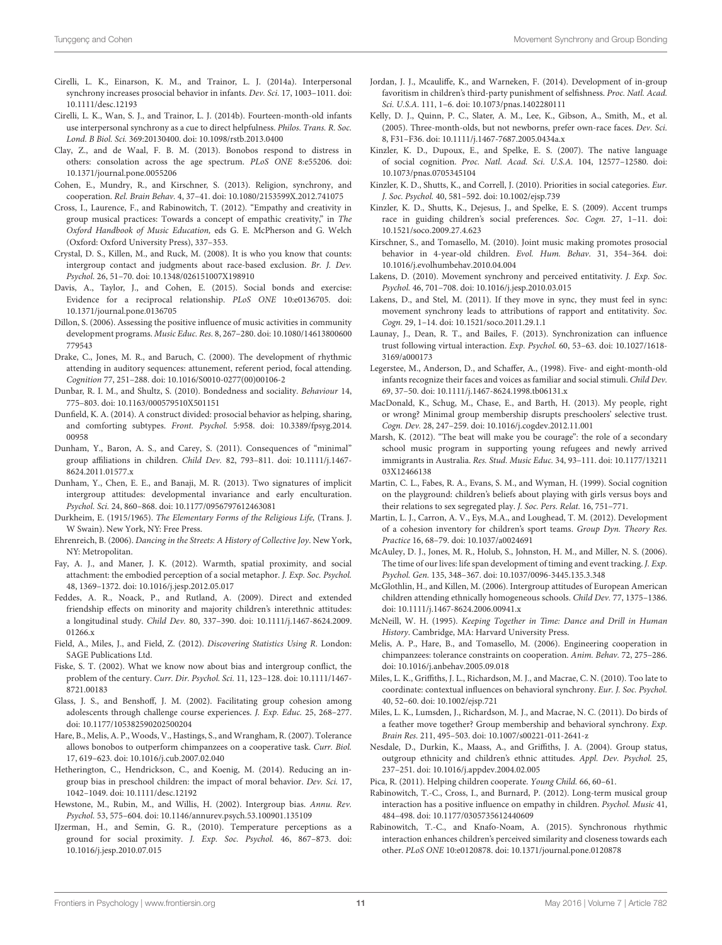- <span id="page-10-1"></span>Cirelli, L. K., Einarson, K. M., and Trainor, L. J. (2014a). Interpersonal synchrony increases prosocial behavior in infants. Dev. Sci. 17, 1003–1011. doi: 10.1111/desc.12193
- <span id="page-10-24"></span>Cirelli, L. K., Wan, S. J., and Trainor, L. J. (2014b). Fourteen-month-old infants use interpersonal synchrony as a cue to direct helpfulness. Philos. Trans. R. Soc. Lond. B Biol. Sci. 369:20130400. doi: 10.1098/rstb.2013.0400
- <span id="page-10-27"></span>Clay, Z., and de Waal, F. B. M. (2013). Bonobos respond to distress in others: consolation across the age spectrum. PLoS ONE 8:e55206. doi: 10.1371/journal.pone.0055206
- <span id="page-10-37"></span>Cohen, E., Mundry, R., and Kirschner, S. (2013). Religion, synchrony, and cooperation. Rel. Brain Behav. 4, 37–41. doi: 10.1080/2153599X.2012.741075
- <span id="page-10-42"></span>Cross, I., Laurence, F., and Rabinowitch, T. (2012). "Empathy and creativity in group musical practices: Towards a concept of empathic creativity," in The Oxford Handbook of Music Education, eds G. E. McPherson and G. Welch (Oxford: Oxford University Press), 337–353.
- <span id="page-10-17"></span>Crystal, D. S., Killen, M., and Ruck, M. (2008). It is who you know that counts: intergroup contact and judgments about race-based exclusion. Br. J. Dev. Psychol. 26, 51–70. doi: 10.1348/026151007X198910
- <span id="page-10-47"></span>Davis, A., Taylor, J., and Cohen, E. (2015). Social bonds and exercise: Evidence for a reciprocal relationship. PLoS ONE 10:e0136705. doi: 10.1371/journal.pone.0136705
- <span id="page-10-19"></span>Dillon, S. (2006). Assessing the positive influence of music activities in community development programs. Music Educ. Res. 8, 267–280. doi: 10.1080/14613800600 779543
- <span id="page-10-30"></span>Drake, C., Jones, M. R., and Baruch, C. (2000). The development of rhythmic attending in auditory sequences: attunement, referent period, focal attending. Cognition 77, 251–288. doi: 10.1016/S0010-0277(00)00106-2
- <span id="page-10-38"></span>Dunbar, R. I. M., and Shultz, S. (2010). Bondedness and sociality. Behaviour 14, 775–803. doi: 10.1163/000579510X501151
- <span id="page-10-43"></span>Dunfield, K. A. (2014). A construct divided: prosocial behavior as helping, sharing, and comforting subtypes. Front. Psychol. 5:958. doi: 10.3389/fpsyg.2014. 00958
- <span id="page-10-13"></span>Dunham, Y., Baron, A. S., and Carey, S. (2011). Consequences of "minimal" group affiliations in children. Child Dev. 82, 793–811. doi: 10.1111/j.1467- 8624.2011.01577.x
- <span id="page-10-10"></span>Dunham, Y., Chen, E. E., and Banaji, M. R. (2013). Two signatures of implicit intergroup attitudes: developmental invariance and early enculturation. Psychol. Sci. 24, 860–868. doi: 10.1177/0956797612463081
- <span id="page-10-41"></span>Durkheim, E. (1915/1965). The Elementary Forms of the Religious Life, (Trans. J. W Swain). New York, NY: Free Press.
- <span id="page-10-40"></span>Ehrenreich, B. (2006). Dancing in the Streets: A History of Collective Joy. New York, NY: Metropolitan.
- <span id="page-10-29"></span>Fay, A. J., and Maner, J. K. (2012). Warmth, spatial proximity, and social attachment: the embodied perception of a social metaphor. J. Exp. Soc. Psychol. 48, 1369–1372. doi: 10.1016/j.jesp.2012.05.017
- <span id="page-10-18"></span>Feddes, A. R., Noack, P., and Rutland, A. (2009). Direct and extended friendship effects on minority and majority children's interethnic attitudes: a longitudinal study. Child Dev. 80, 337–390. doi: 10.1111/j.1467-8624.2009. 01266.x
- <span id="page-10-32"></span>Field, A., Miles, J., and Field, Z. (2012). Discovering Statistics Using R. London: SAGE Publications Ltd.
- <span id="page-10-4"></span>Fiske, S. T. (2002). What we know now about bias and intergroup conflict, the problem of the century. Curr. Dir. Psychol. Sci. 11, 123–128. doi: 10.1111/1467- 8721.00183
- <span id="page-10-25"></span>Glass, J. S., and Benshoff, J. M. (2002). Facilitating group cohesion among adolescents through challenge course experiences. J. Exp. Educ. 25, 268–277. doi: 10.1177/105382590202500204
- <span id="page-10-45"></span>Hare, B., Melis, A. P., Woods, V., Hastings, S., and Wrangham, R. (2007). Tolerance allows bonobos to outperform chimpanzees on a cooperative task. Curr. Biol. 17, 619–623. doi: 10.1016/j.cub.2007.02.040
- <span id="page-10-15"></span>Hetherington, C., Hendrickson, C., and Koenig, M. (2014). Reducing an ingroup bias in preschool children: the impact of moral behavior. Dev. Sci. 17, 1042–1049. doi: 10.1111/desc.12192
- <span id="page-10-3"></span>Hewstone, M., Rubin, M., and Willis, H. (2002). Intergroup bias. Annu. Rev. Psychol. 53, 575–604. doi: 10.1146/annurev.psych.53.100901.135109
- <span id="page-10-28"></span>IJzerman, H., and Semin, G. R., (2010). Temperature perceptions as a ground for social proximity. J. Exp. Soc. Psychol. 46, 867–873. doi: 10.1016/j.jesp.2010.07.015
- <span id="page-10-12"></span>Jordan, J. J., Mcauliffe, K., and Warneken, F. (2014). Development of in-group favoritism in children's third-party punishment of selfishness. Proc. Natl. Acad. Sci. U.S.A. 111, 1–6. doi: 10.1073/pnas.1402280111
- <span id="page-10-5"></span>Kelly, D. J., Quinn, P. C., Slater, A. M., Lee, K., Gibson, A., Smith, M., et al. (2005). Three-month-olds, but not newborns, prefer own-race faces. Dev. Sci. 8, F31–F36. doi: 10.1111/j.1467-7687.2005.0434a.x
- <span id="page-10-7"></span>Kinzler, K. D., Dupoux, E., and Spelke, E. S. (2007). The native language of social cognition. Proc. Natl. Acad. Sci. U.S.A. 104, 12577–12580. doi: 10.1073/pnas.0705345104
- <span id="page-10-0"></span>Kinzler, K. D., Shutts, K., and Correll, J. (2010). Priorities in social categories. Eur. J. Soc. Psychol. 40, 581–592. doi: 10.1002/ejsp.739
- <span id="page-10-8"></span>Kinzler, K. D., Shutts, K., Dejesus, J., and Spelke, E. S. (2009). Accent trumps race in guiding children's social preferences. Soc. Cogn. 27, 1–11. doi: 10.1521/soco.2009.27.4.623
- <span id="page-10-46"></span>Kirschner, S., and Tomasello, M. (2010). Joint music making promotes prosocial behavior in 4-year-old children. Evol. Hum. Behav. 31, 354–364. doi: 10.1016/j.evolhumbehav.2010.04.004
- <span id="page-10-35"></span>Lakens, D. (2010). Movement synchrony and perceived entitativity. J. Exp. Soc. Psychol. 46, 701–708. doi: 10.1016/j.jesp.2010.03.015
- <span id="page-10-36"></span>Lakens, D., and Stel, M. (2011). If they move in sync, they must feel in sync: movement synchrony leads to attributions of rapport and entitativity. Soc. Cogn. 29, 1–14. doi: 10.1521/soco.2011.29.1.1
- <span id="page-10-22"></span>Launay, J., Dean, R. T., and Bailes, F. (2013). Synchronization can influence trust following virtual interaction. Exp. Psychol. 60, 53–63. doi: 10.1027/1618- 3169/a000173
- <span id="page-10-6"></span>Legerstee, M., Anderson, D., and Schaffer, A., (1998). Five- and eight-month-old infants recognize their faces and voices as familiar and social stimuli. Child Dev. 69, 37–50. doi: 10.1111/j.1467-8624.1998.tb06131.x
- <span id="page-10-14"></span>MacDonald, K., Schug, M., Chase, E., and Barth, H. (2013). My people, right or wrong? Minimal group membership disrupts preschoolers' selective trust. Cogn. Dev. 28, 247–259. doi: 10.1016/j.cogdev.2012.11.001
- <span id="page-10-20"></span>Marsh, K. (2012). "The beat will make you be courage": the role of a secondary school music program in supporting young refugees and newly arrived immigrants in Australia. Res. Stud. Music Educ. 34, 93–111. doi: 10.1177/13211 03X12466138
- <span id="page-10-9"></span>Martin, C. L., Fabes, R. A., Evans, S. M., and Wyman, H. (1999). Social cognition on the playground: children's beliefs about playing with girls versus boys and their relations to sex segregated play. J. Soc. Pers. Relat. 16, 751–771.
- <span id="page-10-26"></span>Martin, L. J., Carron, A. V., Eys, M.A., and Loughead, T. M. (2012). Development of a cohesion inventory for children's sport teams. Group Dyn. Theory Res. Practice 16, 68–79. doi: 10.1037/a0024691
- <span id="page-10-31"></span>McAuley, D. J., Jones, M. R., Holub, S., Johnston, H. M., and Miller, N. S. (2006). The time of our lives: life span development of timing and event tracking. J. Exp. Psychol. Gen. 135, 348–367. doi: 10.1037/0096-3445.135.3.348
- <span id="page-10-16"></span>McGlothlin, H., and Killen, M. (2006). Intergroup attitudes of European American children attending ethnically homogeneous schools. Child Dev. 77, 1375–1386. doi: 10.1111/j.1467-8624.2006.00941.x
- <span id="page-10-39"></span>McNeill, W. H. (1995). Keeping Together in Time: Dance and Drill in Human History. Cambridge, MA: Harvard University Press.
- <span id="page-10-44"></span>Melis, A. P., Hare, B., and Tomasello, M. (2006). Engineering cooperation in chimpanzees: tolerance constraints on cooperation. Anim. Behav. 72, 275–286. doi: 10.1016/j.anbehav.2005.09.018
- <span id="page-10-34"></span>Miles, L. K., Griffiths, J. L., Richardson, M. J., and Macrae, C. N. (2010). Too late to coordinate: contextual influences on behavioral synchrony. Eur. J. Soc. Psychol. 40, 52–60. doi: 10.1002/ejsp.721
- <span id="page-10-23"></span>Miles, L. K., Lumsden, J., Richardson, M. J., and Macrae, N. C. (2011). Do birds of a feather move together? Group membership and behavioral synchrony. Exp. Brain Res. 211, 495–503. doi: 10.1007/s00221-011-2641-z
- <span id="page-10-11"></span>Nesdale, D., Durkin, K., Maass, A., and Griffiths, J. A. (2004). Group status, outgroup ethnicity and children's ethnic attitudes. Appl. Dev. Psychol. 25, 237–251. doi: 10.1016/j.appdev.2004.02.005

<span id="page-10-33"></span>Pica, R. (2011). Helping children cooperate. Young Child. 66, 60–61.

- <span id="page-10-21"></span>Rabinowitch, T.-C., Cross, I., and Burnard, P. (2012). Long-term musical group interaction has a positive influence on empathy in children. Psychol. Music 41, 484–498. doi: 10.1177/0305735612440609
- <span id="page-10-2"></span>Rabinowitch, T.-C., and Knafo-Noam, A. (2015). Synchronous rhythmic interaction enhances children's perceived similarity and closeness towards each other. PLoS ONE 10:e0120878. doi: 10.1371/journal.pone.0120878